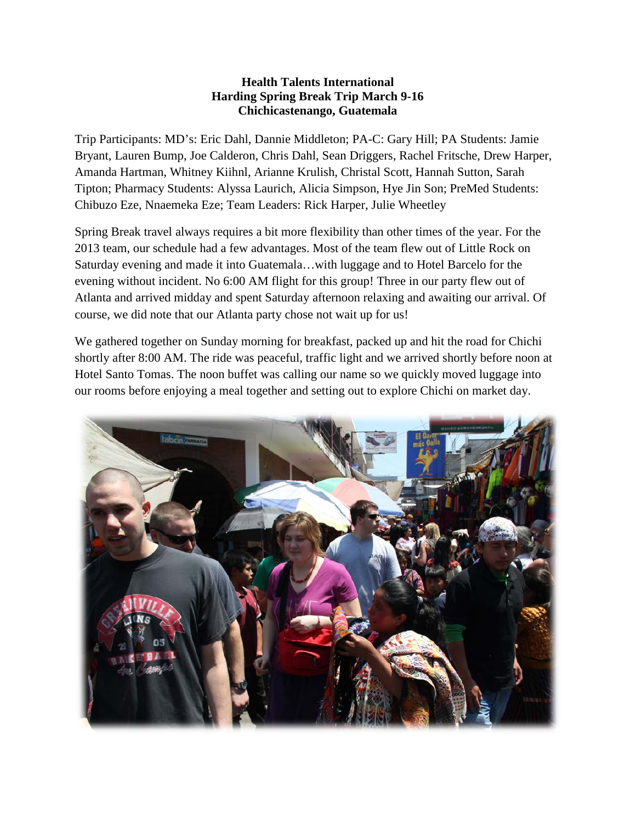## **Health Talents International Harding Spring Break Trip March 9-16 Chichicastenango, Guatemala**

Trip Participants: MD's: Eric Dahl, Dannie Middleton; PA-C: Gary Hill; PA Students: Jamie Bryant, Lauren Bump, Joe Calderon, Chris Dahl, Sean Driggers, Rachel Fritsche, Drew Harper, Amanda Hartman, Whitney Kiihnl, Arianne Krulish, Christal Scott, Hannah Sutton, Sarah Tipton; Pharmacy Students: Alyssa Laurich, Alicia Simpson, Hye Jin Son; PreMed Students: Chibuzo Eze, Nnaemeka Eze; Team Leaders: Rick Harper, Julie Wheetley

Spring Break travel always requires a bit more flexibility than other times of the year. For the 2013 team, our schedule had a few advantages. Most of the team flew out of Little Rock on Saturday evening and made it into Guatemala…with luggage and to Hotel Barcelo for the evening without incident. No 6:00 AM flight for this group! Three in our party flew out of Atlanta and arrived midday and spent Saturday afternoon relaxing and awaiting our arrival. Of course, we did note that our Atlanta party chose not wait up for us!

We gathered together on Sunday morning for breakfast, packed up and hit the road for Chichi shortly after 8:00 AM. The ride was peaceful, traffic light and we arrived shortly before noon at Hotel Santo Tomas. The noon buffet was calling our name so we quickly moved luggage into our rooms before enjoying a meal together and setting out to explore Chichi on market day.

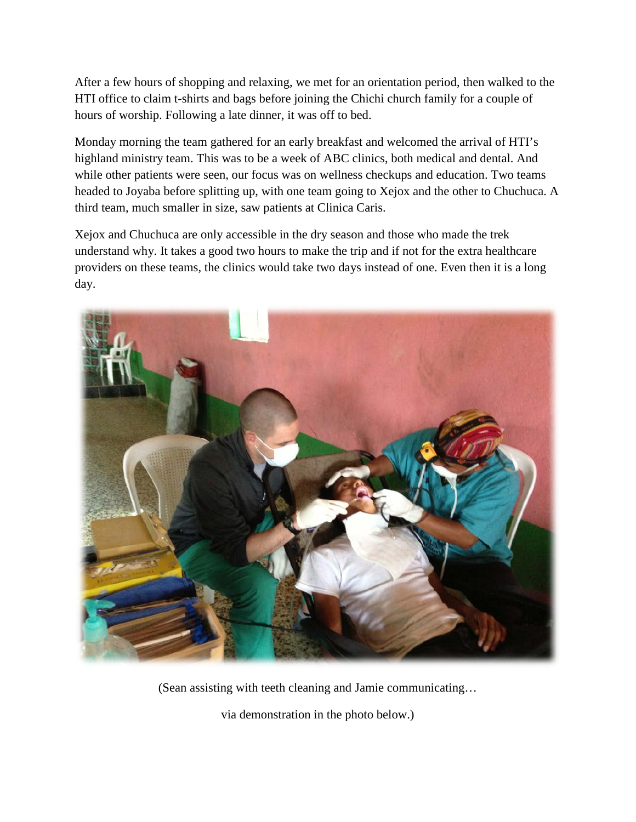After a few hours of shopping and relaxing, we met for an orientation period, then walked to the HTI office to claim t-shirts and bags before joining the Chichi church family for a couple of hours of worship. Following a late dinner, it was off to bed.

Monday morning the team gathered for an early breakfast and welcomed the arrival of HTI's highland ministry team. This was to be a week of ABC clinics, both medical and dental. And while other patients were seen, our focus was on wellness checkups and education. Two teams headed to Joyaba before splitting up, with one team going to Xejox and the other to Chuchuca. A third team, much smaller in size, saw patients at Clinica Caris.

Xejox and Chuchuca are only accessible in the dry season and those who made the trek understand why. It takes a good two hours to make the trip and if not for the extra healthcare providers on these teams, the clinics would take two days instead of one. Even then it is a long day.



(Sean assisting with teeth cleaning and Jamie communicating…

via demonstration in the photo below.)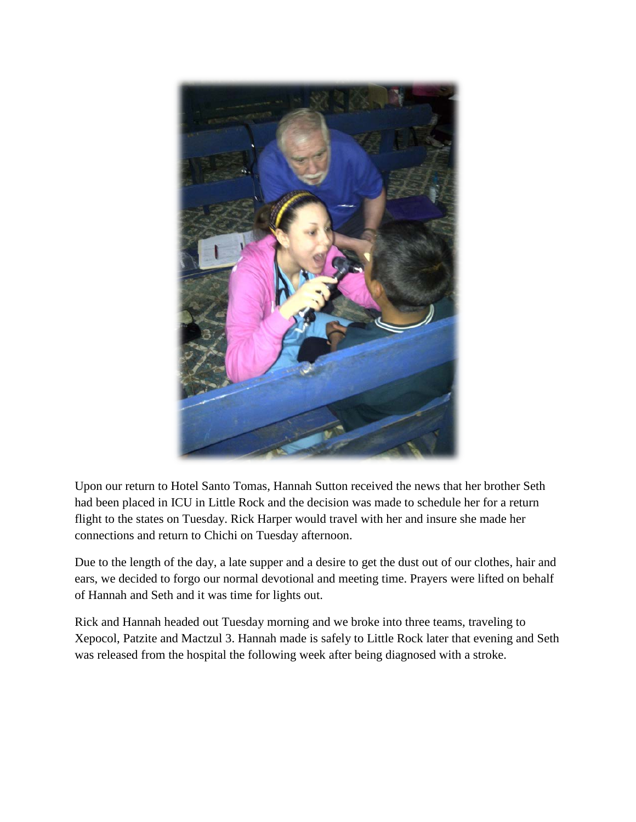

Upon our return to Hotel Santo Tomas, Hannah Sutton received the news that her brother Seth had been placed in ICU in Little Rock and the decision was made to schedule her for a return flight to the states on Tuesday. Rick Harper would travel with her and insure she made her connections and return to Chichi on Tuesday afternoon.

Due to the length of the day, a late supper and a desire to get the dust out of our clothes, hair and ears, we decided to forgo our normal devotional and meeting time. Prayers were lifted on behalf of Hannah and Seth and it was time for lights out.

Rick and Hannah headed out Tuesday morning and we broke into three teams, traveling to Xepocol, Patzite and Mactzul 3. Hannah made is safely to Little Rock later that evening and Seth was released from the hospital the following week after being diagnosed with a stroke.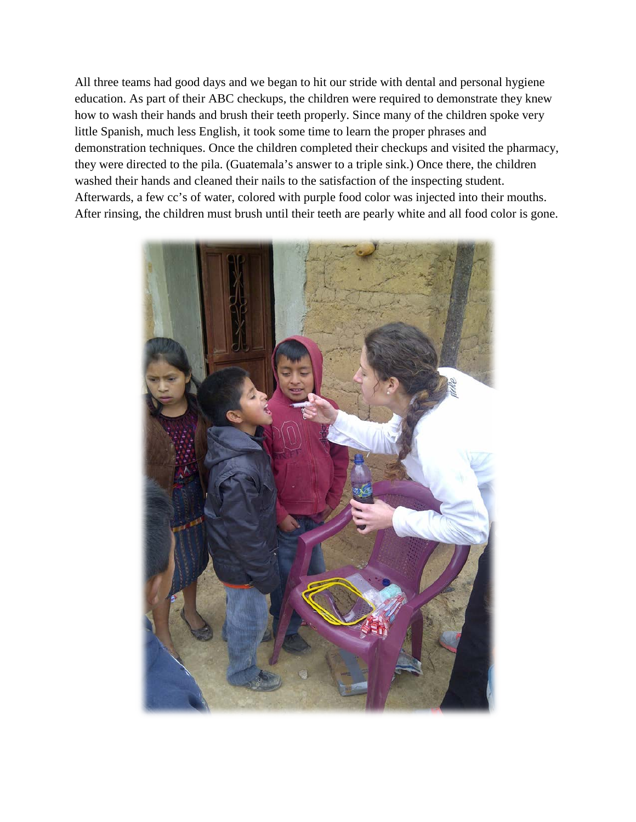All three teams had good days and we began to hit our stride with dental and personal hygiene education. As part of their ABC checkups, the children were required to demonstrate they knew how to wash their hands and brush their teeth properly. Since many of the children spoke very little Spanish, much less English, it took some time to learn the proper phrases and demonstration techniques. Once the children completed their checkups and visited the pharmacy, they were directed to the pila. (Guatemala's answer to a triple sink.) Once there, the children washed their hands and cleaned their nails to the satisfaction of the inspecting student. Afterwards, a few cc's of water, colored with purple food color was injected into their mouths. After rinsing, the children must brush until their teeth are pearly white and all food color is gone.

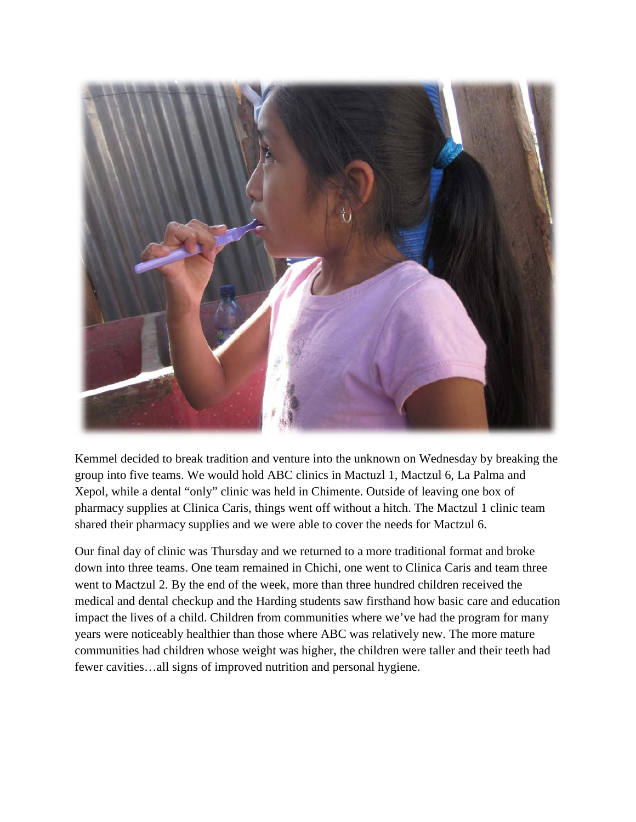

Kemmel decided to break tradition and venture into the unknown on Wednesday by breaking the group into five teams. We would hold ABC clinics in Mactuzl 1, Mactzul 6, La Palma and Xepol, while a dental "only" clinic was held in Chimente. Outside of leaving one box of pharmacy supplies at Clinica Caris, things went off without a hitch. The Mactzul 1 clinic team shared their pharmacy supplies and we were able to cover the needs for Mactzul 6.

Our final day of clinic was Thursday and we returned to a more traditional format and broke down into three teams. One team remained in Chichi, one went to Clinica Caris and team three went to Mactzul 2. By the end of the week, more than three hundred children received the medical and dental checkup and the Harding students saw firsthand how basic care and education impact the lives of a child. Children from communities where we've had the program for many years were noticeably healthier than those where ABC was relatively new. The more mature communities had children whose weight was higher, the children were taller and their teeth had fewer cavities…all signs of improved nutrition and personal hygiene.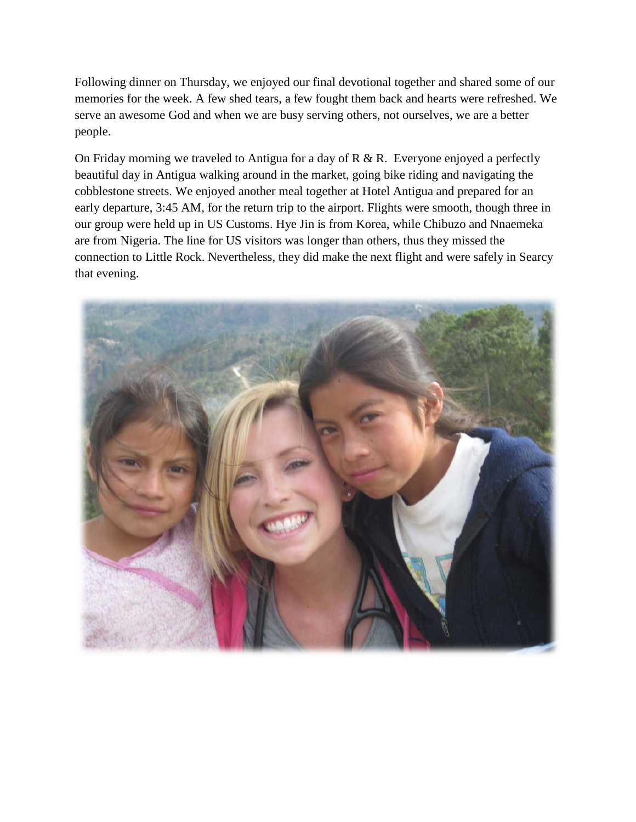Following dinner on Thursday, we enjoyed our final devotional together and shared some of our memories for the week. A few shed tears, a few fought them back and hearts were refreshed. We serve an awesome God and when we are busy serving others, not ourselves, we are a better people.

On Friday morning we traveled to Antigua for a day of R & R. Everyone enjoyed a perfectly beautiful day in Antigua walking around in the market, going bike riding and navigating the cobblestone streets. We enjoyed another meal together at Hotel Antigua and prepared for an early departure, 3:45 AM, for the return trip to the airport. Flights were smooth, though three in our group were held up in US Customs. Hye Jin is from Korea, while Chibuzo and Nnaemeka are from Nigeria. The line for US visitors was longer than others, thus they missed the connection to Little Rock. Nevertheless, they did make the next flight and were safely in Searcy that evening.